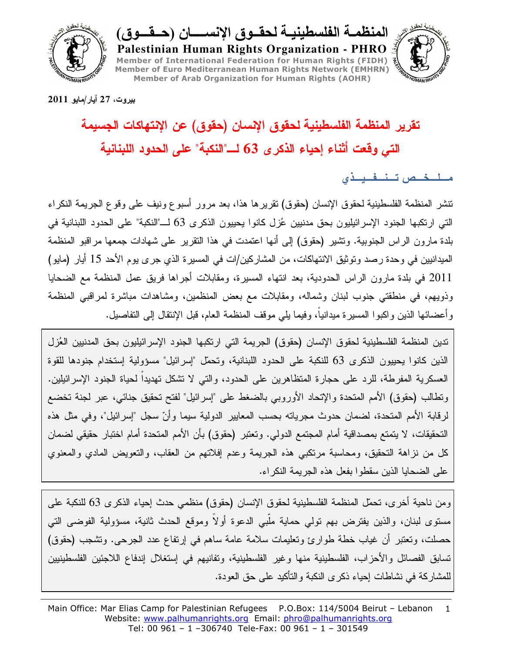

المنظمــة الفلسطينيــة لـحقــوق الإنســـــان (حــقـــوق)

Palestinian Human Rights Organization - PHRO Member of International Federation for Human Rights (FIDH) Member of Euro Mediterranean Human Rights Network (EMHRN) Member of Arab Organization for Human Rights (AOHR)



بيروت، 27 أيار/مايو 2011

تقرير المنظمة الفلسطينية لحقوق الإنسان (حقوق) عن الإنتهاكات الجسيمة التي وقعت أثناء إحياء الذكر ي 63 لـــ"النكبة" على الحدود اللبنانية

ملخصص تخنفيذى

تنشر المنظمة الفلسطينية لحقوق الإنسان (حقوق) تقريرها هذا، بعد مرور أسبوع ونيف على وقوع الجريمة النكراء التي ارتكبها الجنود الإسرائيليون بحق مدنيين عُزل كانوا يحييون الذكرى 63 لـــ"النكبة" على الحدود اللبنانية في بلدة مارون الراس الجنوبية. ونشير (حقوق) إلى أنها اعتمدت في هذا النقرير على شهادات جمعها مراقبو المنظمة الميدانيين في وحدة رصد وتوثيق الانتهاكات، من المشاركين/ات في المسيرة الذي جرى يوم الأحد 15 أيار (مايو) 2011 في بلدة مارون الراس الحدودية، بعد انتهاء المسيرة، ومقابلات أجراها فريق عمل المنظمة مع الضحايا وذويهم، في منطقتي جنوب لبنان وشماله، ومقابلات مع بعض المنظمين، ومشاهدات مباشرة لمراقبي المنظمة وأعضائها الذين واكبوا المسيرة ميدانيا، وفيما يلي موقف المنظمة العام، قبل الإنتقال إلى التفاصيل.

تدين المنظمة الفلسطينية لحقوق الإنسان (حقوق) الجريمة التي ارتكبها الجنود الإسرائيليون بحق المدنيين العُزل الذين كانوا يحييون الذكرى 63 للنكبة على الحدود اللبنانية، وتحمَّل "إسرائيل" مسؤولية إستخدام جنودها للقوة العسكرية المفرطة، للرد على حجارة المنظاهرين على الحدود، والتي لا نشكل نهديدا لحياة الجنود الإسرائيلين. ونطالب (حقوق) الأمم المتحدة والإتحاد الأوروبي بالضغط على "إسرائيل" لفتح تحقيق جنائبي، عبر لجنة تخضع لرقابة الأمم المتحدة، لضمان حدوث مجرياته بحسب المعايير الدولية سيما وأنّ سجل "إسرائيل"، وفي مثل هذه التحقيقات، لا يتمتع بمصداقية أمام المجتمع الدولي. وتعتبر (حقوق) بأن الأمم المتحدة أمام اختبار حقيقي لضمان كل من نزاهة التحقيق، ومحاسبة مرتكبي هذه الجريمة وعدم إفلاتهم من العقاب، والتعويض المادي والمعنوي على الضحايا الذين سقطوا بفعل هذه الجريمة النكراء.

ومن ناحية أخرى، تحمَّل المنظمة الفلسطينية لحقوق الإنسان (حقوق) منظمى حدث إحياء الذكرى 63 للنكبة على مستوى لبنان، والذين يفترض بهم نولمي حماية ملبي الدعوة أولا وموقع الحدث ثانية، مسؤولية الفوضبي التي حصلت، وتعتبر أن غياب خطة طوارئ وتعليمات سلامة عامة ساهم في إرتفاع عدد الجرحى. وتشجب (حقوق) تسابق الفصائل والأحزاب، الفلسطينية منها وغير الفلسطينية، وتفانيهم في إستغلال إندفاع اللاجئين الفلسطينيين للمشاركة في نشاطات إحياء ذكرى النكبة والتأكيد على حق العودة.

Main Office: Mar Elias Camp for Palestinian Refugees P.O.Box: 114/5004 Beirut - Lebanon  $\mathbf{1}$ Website: www.palhumanrights.org Email: phro@palhumanrights.org Tel: 00 961 - 1 -306740 Tele-Fax: 00 961 - 1 - 301549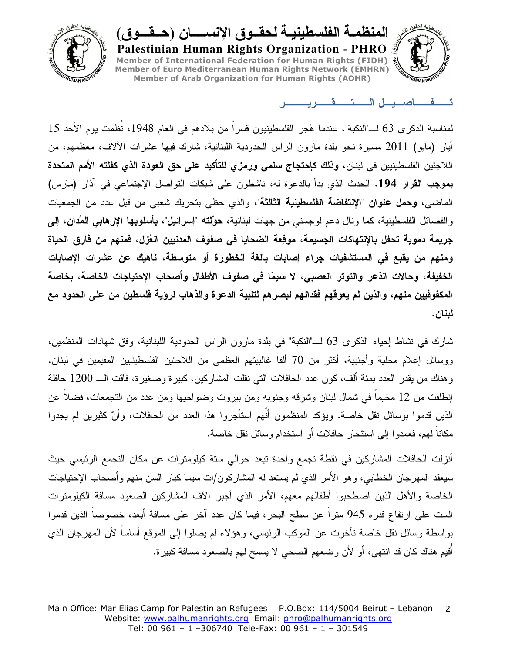

المنظمــة الفلسطينيــة لـحقــوق الإنســـــان (حــقـــوق) Palestinian Human Rights Organization - PHRO Member of International Federation for Human Rights (FIDH) Member of Euro Mediterranean Human Rights Network (EMHRN) Member of Arab Organization for Human Rights (AOHR)



#### تسفساصيل الستشقسرية

لمناسبة الذكر ي 63 لـــ"النكبة"، عندما هُجر الفلسطينيون قسراً من بلادهم في العام 1948، نُظمت يوم الأحد 15 أيار (مايو) 2011 مسيرة نحو بلدة مارون الراس الحدودية اللبنانية، شارك فيها عشرات الألاف، معظمهم، من اللاجئين الفلسطينيين في لبنان، **وذلك كإحتجاج سلم***ي* **ورمزى للتأكيد على حق العودة الذي كفلته الأمم المتحدة بموجب القرار 194.** الحدث الذي بدأ بالدعوة له، ناشطون على شبكات التواصل الإجتماعي في آذار (مارس) الماضي، **وحمل عنوان "الإنتفاضة الفلسطينية الثالثة"**، والذي حظى بتحريك شعبي من قبل عدد من الجمعيات والفصائل الفلسطينية، كما ونال دعم لوجستي من جهات لبنانية، **حوّلته** "إ**سرائيل"، بأسلوبها الإرهابي المُدان، إل***ي* جريمة دموية تحفل بالإنتهاكات الجسيمة، موقِعة الضحايا في صفوف المدنيين العُزل، فمنهم من فارق الحياة ومنهم من يقبع في المستشفيات جراء إصابات بالغة الخطورة أو متوسطة، ناهيك عن عشرات الإصابات الخفيفة، وحالات الذعر والتوتر العصبي، لا سيمًا في صفوف الأطفال وأصحاب الإحتياجات الخاصة، بخاصة المكفوفيين منهم، والذين لم يعوقهم فقدانهم لبصر هم لتلبية الدعوة والذهاب لرؤية فلسطين من على الحدود مع لبنان.

شارك في نشاط إحياء الذكرى 63 لــ"النكبة" في بلدة مارون الراس الحدودية اللبنانية، وفق شهادات المنظمين، ووسائل إعلام محلية وأجنبية، أكثر من 70 ألفا غالبيتهم العظمى من اللاجئين الفلسطينيين المقيمين في لبنان. وهناك من يقدر العدد بمئة ألف، كون عدد الحافلات التي نقلت المشاركين، كبيرة وصغيرة، فاقت الـــ 1200 حافلة إنطلقت من 12 مخيما في شمال لبنان وشرقه وجنوبه ومن بيروت وضواحيها ومن عدد من التجمعات، فضلا عن الذين قدموا بوسائل نقل خاصة. ويؤكد المنظمون أنهم استأجروا هذا العدد من الحافلات، وأنّ كثيرين لم يجدوا مكانـًا لمهم، فعمدوا إلى استئجار حافلات أو استخدام وسائل نقل خاصـة.

أنزلت الحافلات المشاركين في نقطة تجمع واحدة تبعد حوالي ستة كيلومترات عن مكان التجمع الرئيسي حيث سيعقد المهرجان الخطابي، وهو الأمر الذي لم يستعد له المشاركون/ات سيما كبار السن منهم وأصحاب الإحتياجات الخاصة والأهل الذين اصطحبوا أطفالهم معهم، الأمر الذي أجبر ألآف المشاركين الصعود مسافة الكيلومترات الست على ارتفاع قدره 945 متراً عن سطح البحر، فيما كان عدد آخر على مسافة أبعد، خصوصاً الذين قدموا بواسطة وسائل نقل خاصة تأخرت عن الموكب الرئيسي، وهؤلاء لم يصلوا إلىي الموقع أساسا لأن المهرجان الذي أقيم هناك كان قد انتهى، أو لأن وضعهم الصحى لا يسمح لهم بالصعود مسافة كبيرة.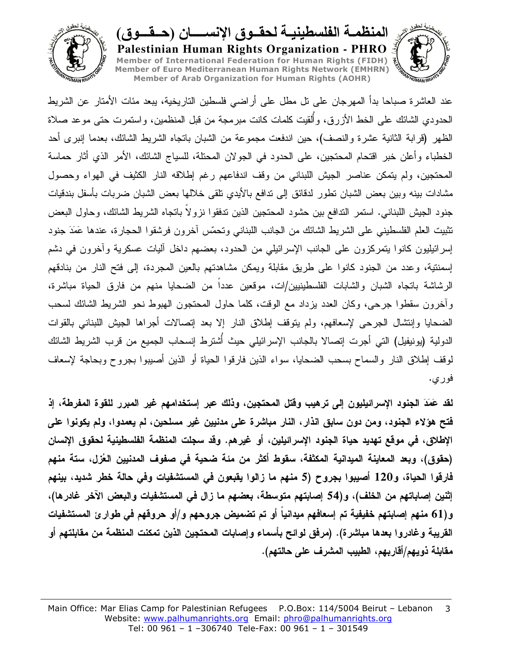

المنظمــة الفلسطينيــة لحقــوق الإنســـــان (حــقـــوق) Palestinian Human Rights Organization - PHRO Member of International Federation for Human Rights (FIDH) Member of Euro Mediterranean Human Rights Network (EMHRN) Member of Arab Organization for Human Rights (AOHR)



عند العاشر ة صباحا بدأ المهر جان على تل مطل على أر اضى فلسطين التار يخية، ببعد مئات الأمتار عن الشر يط الحدودي الشائك على الخط الأز ر ق، و ألقيت كلمات كانت مبر مجة من قبل المنظمين، و استمر ت حتى مو عد صلاة الظهر (قرابة الثانية عشرة والنصف)، حين اندفعت مجموعة من الشبان باتجاه الشريط الشائك، بعدما إنبر ي أحد الخطباء وأعلن خبر اقتحام المحتجين، على الحدود في الجولان المحتلة، للسياج الشائك، الأمر الذي أثار حماسة المحتجين، ولم يتمكن عناصر الجيش اللبناني من وقف اندفاعهم رغم إطلاقه النار الكثيف في الهواء وحصول مشادات بينه وبين بعض الشبان نطور لدقائق إلى ندافع بالأيدي نلقى خلالها بعض الشبان ضربات بأسفل بندقيات جنود الجيش اللبناني. استمر الندافع بين حشود المحتجين الذين تدفقوا نزولا باتجاه الشريط الشائك، وحاول البعض تثبيت العلم الفلسطيني على الشريط الشائك من الجانب اللبناني وتحمّس أخرون فرشقوا الحجارة، عندها عَمَدَ جنود إسرائيليون كانوا يتمركزون على الجانب الإسرائيلي من الحدود، بعضهم داخل اليات عسكرية وإخرون في دشم إسمنتية، وعدد من الجنود كانوا على طريق مقابلة ويمكن مشاهدتهم بالعين المجردة، إلى فتح النار من بنادقهم الرشاشة باتجاه الشبان والشابات الفلسطينيين/ات، موقعين عددا من الضحايا منهم من فارق الحياة مباشرة، وأخرون سقطوا جرحي، وكان العدد بزداد مع الوقت، كلما حاول المحتجون الهبوط نحو الشريط الشائك لسحب الضحايا وإنتشال الجرحى لإسعافهم، ولم يتوقف إطلاق النار إلا بعد إتصالات أجراها الجيش اللبناني بالقوات الدولية (يونيفيل) التي أجرت إتصالا بالجانب الإسرائيلي حيث أشترط إنسحاب الجميع من قرب الشريط الشائك لوقف إطلاق النار والسماح بسحب الضحايا، سواء الذين فارقوا الحياة أو الذين أصيبوا بجروح وبحاجة لإسعاف فوري.

لقد عَمَدَ الجنود الإسرائيليون إلى ترهيب وقتل المحتجين، وذلك عبر إستخدامهم غير المبرر للقوة المفرطة، إذ فتح هؤلاء الجنود، ومن دون سابق انذار، النار مباشرة على مدنيين غير مسلحين، لم يعمدوا، ولم يكونوا على الإطلاق، في موقع تهديد حياة الجنود الإسرائيلين، أو غيرهم. وقد سجلت المنظمة الفلسطينية لحقوق الإنسان (حقوق)، وبعد المعاينة الميدانية المكثفة، سقوط أكثر من مئة ضحية في صفوف المدنيين العُزل، ستة منهم فارقوا الحياة، و120 أصيبوا بجروح (5 منهم ما زالوا يقبعون في المستشفيات وفي حالة خطر شديد، بينهم إثنين إصاباتهم من الخلف)، و(54 إصابتهم متوسطة، بعضهم ما زال في المستشفيات والبعض الآخر غادرها)، و (61 منـهم إصابتهم خفيفية تم إسعافهم ميدانيا أو تم تضميض جروحهم و/أو حروقهم في طوارئ المستشفيات القريبة وغادروا بعدها مباشرة). (مرفق لوائح بأسماء وإصابات المحتجين الذين تمكنت المنظمة من مقابلتهم أو مقابلة ذويهم/أقاربهم، الطبيب المشرف على حالتهم).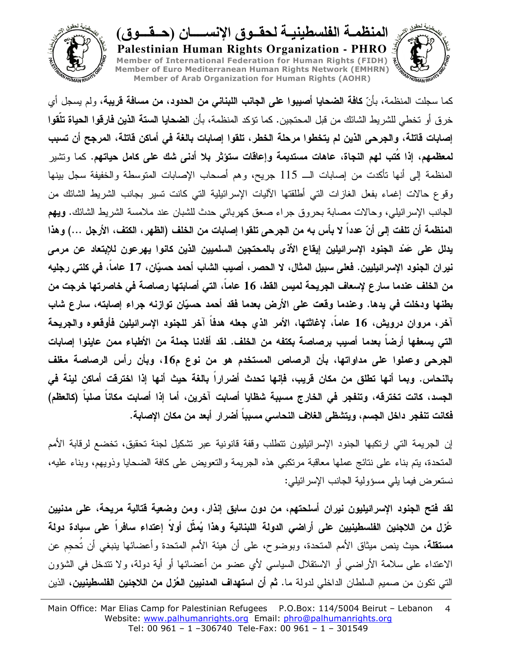

المنظمــة الفلسطينيــة لـحقــوق الإنســـــان (حــقـــوق) Palestinian Human Rights Organization - PHRO Member of International Federation for Human Rights (FIDH) Member of Euro Mediterranean Human Rights Network (EMHRN) Member of Arab Organization for Human Rights (AOHR)



كما سجلت المنظمة، بأنّ **كافة الضحايا أصيبوا على الجانب اللبناني من الحدود، من مسافة قريبة،** ولم يسجل أي خر ق أو تخطي للشر يط الشائك من قبل المحتجين. كما تؤكد المنظمة، بأن ا**لضحايا الستة الذين فارقوا الحياة تلُّقو**ا إصابات قاتلة، والجرحي الذين لم يتخطوا مرحلة الخطر، تلقوا إصابات بالغة في أماكن قاتلة، المرجح أن تسبب لمعظمهم، إذا كُتب لهم النجاة، عاهات مستديمة وإعاقات ستؤثر بلا أدنى شك على كامل حياتهم. كما ونشير المنظمة إلى أنها نأكدت من إصابات الـــ 115 جريح، وهم أصحاب الإصابات المتوسطة والخفيفة سجل بينها وقوع حالات إغماء بفعل الغازات التبي أطلقتها الآليات الإسرائيلية التبي كانت تسير بجانب الشريط الشائك من الجانب الإسرائيلي، وحالات مصابة بحروق جراء صعق كهربائي حدث للشبان عند ملامسة الشريط الشائك. ويهم المنظمة أن تلفت إلى أنّ عددا لا بأس به من الجرحى تلقوا إصابات من الخلف (الظهر ، الكتف، الأرجل …) وهذا يدلل على عَمْد الجنود الإسرائيلين إيقاع الأذى بالمحتجين السلميين الذين كانوا يهرعون للإبتعاد عن مرمى نيران الجنود الإسرائيليين. فعلى سبيل المثال، لا الحصر ، أصيب الشاب أحمد حسيّان، 17 عاما، في كلتي رجليه من الخلف عندما سارع لإسعاف الجريحة لميس القط، 16 عاما، التي أصابتها رصاصة في خاصرتها خرجت من بطنها ودخلت في بدها. وعندما وقعت على الأرض بعدما فقد أحمد حسبّان توازنه جراء إصابته، سارع شاب آخر، مروان درويش، 16 عاماً، لإغاثتها، الأمر الذي جعله هدفاً آخر للجنود الإسرائيلين فأوقعوه والجريحة التي يسعفها أرضاً بعدما أصيب برصاصة بكتفه من الخلف. لقد أفادنا جملة من الأطباء ممن عاينوا إصابات الجرحى وعملوا على مداواتها، بأن الرصاص المستخدم هو من نوع م16، وبأن رأس الرصاصة مغلف بالنحاس. وبما أنها تطلق من مكان قريب، فإنها تحدث أضراراً بالغة حيث أنها إذا اخترقت أماكن لينة في الجسد، كانت تخترقه، وتنفجر في الخارج مسببة شظايا أصابت آخرين، أما إذا أصابت مكاناً صلباً (كالعظم) فكانت تنفجر داخل الجسم، ويتشظى الغلاف النحاسى مسبباً أضرار أبعد من مكان الإصابة.

إن الجريمة التي ارتكبها الجنود الإسرائيليون نتطلب وقفة قانونية عبر تشكيل لجنة تحقيق، تخضع لرقابة الأمم المتحدة، بنم بناء على نتائج عملها معاقبة مرتكبي هذه الجريمة والتعويض على كافة الضحايا وذويهم، وبناء عليه، نستعرض فيما يلي مسؤولية الجانب الإسرائيلي:

لقد فتح الجنود الإسرائيليون نيران أسلحتهم، من دون سابق إنذار، ومن وضعية قتالية مريحة، على مدنيين عُزل من اللاجئين الفلسطينيين على أراضى الدولة اللبنانية وهذا يُمثِّل أولاً إعتداء سافراً على سيادة دولة مستقلة، حيث ينص ميثاق الأمم المتحدة، وبوضوح، على أن هيئة الأمم المتحدة وأعضائها ينبغي أن تُحجم عن الاعتداء على سلامة الأراضـي أو الاستقلال السياسي لأي عضو من أعضائها أو أية دولة، ولا تتدخل في الشؤون التي تكون من صميم السلطان الداخلي لدولة ما. **ثم أن استهداف المدنيين العُزل من اللاجئين الفلسطينيين،** الذين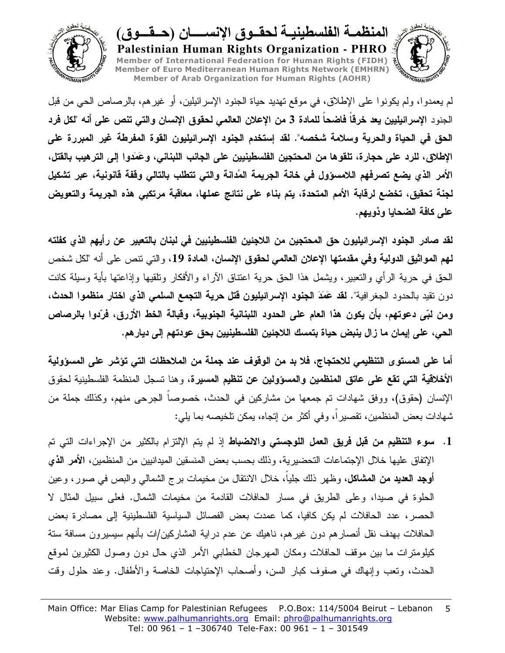

المنظمــة الفلسطينيــة لحقــوق الإنســـــان (حــقـــوق) Palestinian Human Rights Organization - PHRO Member of International Federation for Human Rights (FIDH) Member of Euro Mediterranean Human Rights Network (EMHRN) Member of Arab Organization for Human Rights (AOHR)



لم يعمدوا، ولم يكونوا على الإطلاق، في موقع تهديد حياة الجنود الإسرائيلين، أو غير هم، بالرصاص الحي من قبل الجنود الإسرائيليين يعد خرفًا فاضحا للمادة 3 من الإعلان العالمي لحقوق الإنسان والتي تنص على أنه "لكل فرد الحق في الحياة والحرية وسلامة شخصه". لقد إستخدم الجنود الإسرائيليون القوة المفرطة غير المبررة على الإطلاق، للرد على حجارة، تلقوها من المحتجين الفلسطينيين على الجانب اللبناني، وعَمَدوا إلى الترهيب بالفتل، الأمر الذي يضع تصرفهم اللامسؤول في خانة الجريمة المُدانة والتي تتطلب بالتالي وقفة قانونية، عبر تشكيل لجنة تحقيق، تخضع لرقابة الأمم المتحدة، يتم بناء على نتائج عملها، معاقبة مرتكبي هذه الجريمة والتعويض على كافة الضحايا وذويهم.

لقد صادر الجنود الإسرائيليون حق المحتجين من اللاجئين الفلسطينيين في لبنان بالتعبير عن رأيهم الذي كفلته لـهم المواثيق الدولية وفي مقدمتها الإعلان العالمي لحقوق الإنسان، المادة 19، والتي نتص على أنه "لكل شخص الحق في حرية الرأى والنعبير ، ويشمل هذا الحق حرية اعتناق الأراء والأفكار ونلقيها وإذاعتها بأية وسيلة كانت دون نقيد بالحدود الجغرافية". لقد عَمَدَ الجنود الإسرائيليون قتل حرية التجمع السلمي الذي اختار منظموا الحدث، ومن لبِّي دعوتهم، بأن يكون هذا العام على الحدود اللبنانية الجنوبية، وقبالة الخط الأزرق، فرِّدوا بالرصاص الحي، على إيمان ما زال ينبض حياة بتمسك اللاجئين الفلسطينيين بحق عودتهم إلى ديار هم.

أما على المستوى التنظيمي للاحتجاج، فلا بد من الوقوف عند جملة من الملاحظات التي تؤشر على المسؤولية الأ**خ**لاقية التي تقع على عاتق المنظمين والمسؤولين عن تنظيم المسيرة، وهنا نسجل المنظمة الفلسطينية لحقوق الإنسان (حقوق)، ووفق شهادات تم جمعها من مشاركين في الحدث، خصوصا الجرحي منهم، وكذلك جملة من شهادات بعض المنظمين، تقصيراً، وفي أكثر من إتجاه، يمكن تلخيصه بما يلي:

1. سوء التنظيم من قبل فريق العمل اللوجستي والانضباط إذ لم يتم الإلتزام بالكثير من الإجراءات التي تم الإتفاق عليها خلال الإجتماعات التحضيرية، وذلك بحسب بعض المنسقين الميدانيين من المنظمين، الأ**مر الذي** أ**وجد الـعديد من المشاكل**، وظهر ذلك جليا، خلال الانتقال من مخيمات بر ج الشمال<sub>ّي</sub> والبص في صور ، وعين الحلوة في صيدا، وعلى الطريق في مسار الحافلات القادمة من مخيمات الشمال. فعلى سبيل المثال لا الحصر، عدد الحافلات لم يكن كافيا، كما عمدت بعض الفصائل السياسية الفلسطينية إلى مصادرة بعض الحافلات بهدف نقل أنصارهم دون غيرهم، ناهيك عن عدم دراية المشاركين/ات بأنهم سيسيرون مسافة سنة كيلومترات ما بين موقف الحافلات ومكان المهرجان الخطابي الأمر الذي حال دون وصول الكثيرين لموقع الحدث، وتعب وإنهاك في صفوف كبار السن، وأصحاب الإحتياجات الخاصة والأطفال. وعند حلول وقت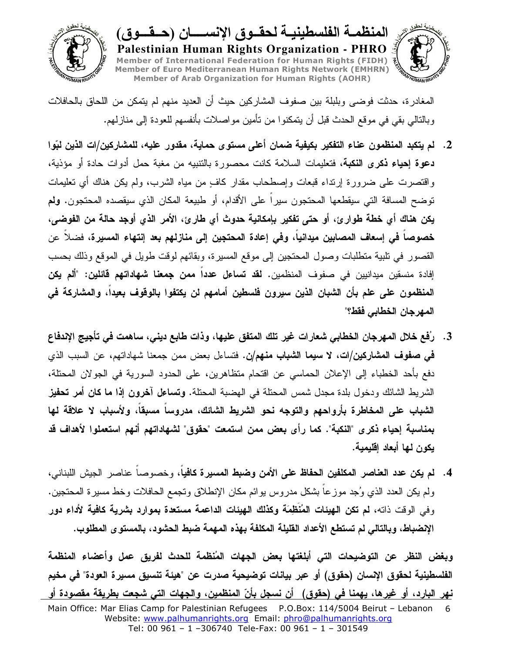

المنظمــة الفلسطينيــة لـحقــوق الإنســـــان (حــقـــوق) Palestinian Human Rights Organization - PHRO Member of International Federation for Human Rights (FIDH) Member of Euro Mediterranean Human Rights Network (EMHRN) Member of Arab Organization for Human Rights (AOHR)



المغادر ة، حدثت فوضبي وبلبلة بين صفوف المشار كين حيث أن العديد منهم لم يتمكن من اللحاق بالحافلات وبالتالي بقي في موقع الحدث قبل أن يتمكنوا من تأمين مواصلات بأنفسهم للعودة إلى منازلهم.

- 2. لم يتكبد المنظمون عناء التفكير بكيفية ضمان أعلى مستوى حماية، مقدور عليه، للمشاركين/ات الذين لبّوا **دعوة إحياء ذكرى النكبة**، فتعليمات السلامة كانت محصورة بالتنبيه من مغبة حمل أدوات حادة أو مؤذية، واقتصرت على ضرورة إرتداء قبعات وإصطحاب مقدار كافٍ من مياه الشرب، ولم يكن هناك أي تعليمات نوضح المسافة التي سيقطعها المحتجون سيراً على الأقدام، أو طبيعة المكان الذي سيقصده المحتجون. ولم يكن هناك أي خطة طوار ئ، أو حتى تفكير بإمكانية حدوث أي طار ئ، الأمر الذي أوجد حالة من الفوضى، خصوصاً في إسعاف المصابين ميدانياً، وفي إعادة المحتجين إلى منازلهم بعد إنتهاء المسيرة، فضلا عن القصور في تلبية متطلبات وصول المحتجين إلى موقع المسيرة، وبقائهم لوقت طويل في الموقع وذلك بحسب إفادة منسقين ميدانيين في صفوف المنظمين. **نقد تساءل عدداً ممن جمعنا شهاداتهم قائلين: "ألم يكن** المنظمون على علم بأن الشبان الذين سيرون فلسطين أمامهم لن يكتفوا بالوقوف بعيداً، والمشاركة في المهرجان الخطابي فقط؟"
- 3. رُفع خلال المهرجان الخطابي شعارات غير تلك المتفق عليها، وذات طابع ديني، ساهمت في تأجيج الإندفاع في صفوف المشاركين/ات، لا سيما الشباب منهم/ن. فتساءل بعض ممن جمعنا شهاداتهم، عن السبب الذي دفع بأحد الخطباء إلى الإعلان الحماسي عن اقتحام متظاهرين، على الحدود السورية في الجولان المحتلة، الشريط الشائك ودخول بلدة مجدل شمس المحتلة في الهضبة المحتلة. **وتساعل آخرون إذا ما كان أمر تحفيز** الشباب على المخاطرة بأرواحهم والتوجه نحو الشريط الشائك، مدروسا مسبقا، ولأسباب لا علاقة لها بمناسبة إحياء ذكر ي "النكبة". كما رأى بعض ممن استمعت "حقوق" لشهاداتهم أنهم استعملوا لأهداف قد يكون لـها أبعاد إقليمية.
- 4. لم يكن عدد العناصر المكلفين الحفاظ على الأمن وضبط المسيرة كافيا، وخصوصا عناصر الجيش اللبناني، ولم يكن العدد الذي وُجد موزعا بشكل مدروس يوائم مكان الإنطلاق وتجمع الحافلات وخط مسيرة المحتجين. وفي الوقت ذاته، لم تكن الهيئات المُنظِمَة وكذلك الهيئات الداعمة مستعدة بموارد بشرية كافية لأداء دور الإنضباط، وبالتالي لم تستطع الأعداد القليلة المكلفة بهذه المهمة ضبط الحشود، بالمستوى المطلوب.

وبغض النظر عن التوضيحات التي أبلغتها بعض الجهات المُنظمة للحدث لفريق عمل وأعضاء المنظمة الفلسطينية لحقوق الإنسان (حقوق) أو عبر بيانات توضيحية صدرت عن "هيئة تنسيق مسيرة العودة" في مخيم نـهر البارد، أو غيرها، يـهمنا فـي (حقوق) أن نسجل بأنّ المنظمين، والجـهات التـي شجعت بطريقة مقصودة أو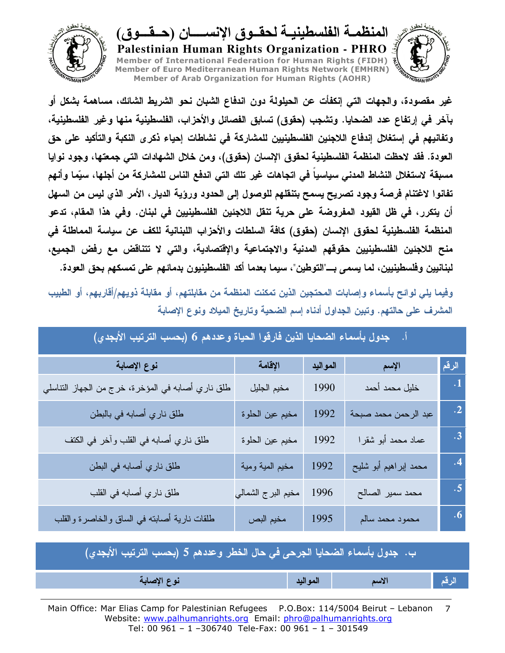

المنظمــة الفلسطينيــة لحقــوق الإنســــان (حــقـــوق) Palestinian Human Rights Organization - PHRO Member of International Federation for Human Rights (FIDH) Member of Euro Mediterranean Human Rights Network (EMHRN) Member of Arab Organization for Human Rights (AOHR)

غير مقصودة، والجهات التي إنكفأت عن الحبلولة دون اندفاع الشبان نحو الشربط الشائك، مساهمة بشكل أو بآخر في إرتفاع عدد الضحايا. وتشجب (حقوق) تسابق الفصائل والأحزاب، الفلسطينية منها وغير الفلسطينية، وتفانيهم في إستغلال إندفاع اللاجئين الفلسطينيين للمشاركة في نشاطات إحياء ذكرى النكبة والتأكيد على حق العودة. فقد لاحظت المنظمة الفلسطينية لحقوق الإنسان (حقوق)، ومن خلال الشهادات التي جمعتها، وجود نوايا مسبقة لاستغلال النشاط المدنى سياسياً في اتجاهات غير تلك التي اندفع الناس للمشاركة من أجلها، سيّما وأنهم تفانوا لاغتنام فرصة وجود تصريح يسمح بتنقلهم للوصول إلى الحدود ورؤية الديار ، الأمر الذي ليس من السهل أن يتكرر ، في ظل القيود المفروضة على حرية تنقل اللاجئين الفلسطينيين في لبنان. وفي هذا المقام، تدعو المنظمة الفلسطينية لحقوق الإنسان (حقوق) كافة السلطات والأحزاب اللبنانية للكف عن سياسة المماطلة في منح اللاجئين الفلسطينيين حقوقهم المدنية والاجتماعية والإقتصادية، والتي لا تتناقض مع رفض الجميع، لبنانيين وفلسطينيين، لما يسمى بــــ"التوطين"، سيما بعدما أكد الفلسطينيون بدمائهم على تمسكهم بحق العودة.

وفيما يلي لوائح بأسماء وإصابات المحتجين الذين تمكنت المنظمة من مقابلتهم، أو مقابلة ذويهم/أقاربهم، أو الطبيب المشرف على حالتهم. وتبين الجداول أدناه إسم الضحية وتاريخ الميلاد ونوع الإصابة

| نوع الإصابة                                       | الإقامة            | المواليد | الإسم                 | الرقم     |
|---------------------------------------------------|--------------------|----------|-----------------------|-----------|
| طلق ناري أصابه في المؤخرة، خرج من الجهاز النتاسلي | مخيم الجليل        | 1990     | خليل محمد أحمد        | $\cdot$ 1 |
| طلق ناري أصابه في بالبطن                          | مخيم عين الحلوة    | 1992     | عبد الرحمن محمد صبحة  | $\cdot$ 2 |
| طلق ناري أصابه في القلب وآخر في الكتف             | مخيم عين الحلوة    | 1992     | عماد محمد أبو شقرا    | .3        |
| طلق ناري أصابه في البطن                           | مخيم المية ومية    | 1992     | محمد إبراهيم أبو شليح | $\cdot$ 4 |
| طلق ناري أصابه في القلب                           | مخيم البرج الشمالي | 1996     | محمد سمير الصالح      | .5        |
| طلقات نارية أصابته في الساق والخاصرة والقلب       | مخيم البص          | 1995     | محمود محمد سالم       | $\cdot 6$ |

جدول بأسماء الضحايا الذين فارقوا الحياة وعددهم 6 (بحسب الترتيب الأبجدي)

| <sub>إ</sub> ب.  جدول بأسماء الضحايا الجرح <i>ى في ح</i> ال الخطر وعددهم 5 (بحسب الترتيب الأبجدي) |          |       |       |
|---------------------------------------------------------------------------------------------------|----------|-------|-------|
| نوع الإصابة                                                                                       | المواليد | الاسم | الرقم |

Main Office: Mar Elias Camp for Palestinian Refugees P.O.Box: 114/5004 Beirut - Lebanon  $\overline{7}$ Website: www.palhumanrights.org Email: phro@palhumanrights.org Tel: 00 961 - 1 -306740 Tele-Fax: 00 961 - 1 - 301549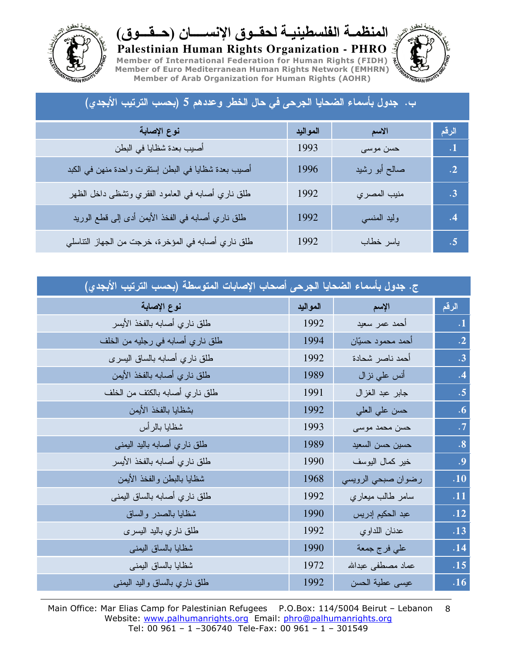

# المنظمــة الفلسطينيــة لحقــوق الإنســـــان (حــقـــوق)

Palestinian Human Rights Organization - PHRO

Member of International Federation for Human Rights (FIDH) Member of Euro Mediterranean Human Rights Network (EMHRN) Member of Arab Organization for Human Rights (AOHR)



### ب. جدول بأسماء الضحايا الجرحي في حال الخطر وعددهم 5 (بحسب الترتيب الأبجدي)

| نوع الإصابة                                         | المواليد | الاسم         | الرقم     |
|-----------------------------------------------------|----------|---------------|-----------|
| أصيب بعدة شظايا في البطن                            | 1993     | حسن موسى      | $\cdot$ 1 |
| أصيب بعدة شظايا في البطن إستقرت واحدة منهن في الكبد | 1996     | صالح أبو رشيد | $\cdot$ 2 |
| طلق ناري أصابه في العامود الفقري وتشظى داخل الظهر   | 1992     | منيب المصري   | .3        |
| طلق ناري أصابه في الفخذ الأيمن أدى إلى قطع الوريد   | 1992     | ولبد المنسي   | .4        |
| طلق ناري أصابه في المؤخرة، خرجت من الجهاز النتاسلي  | 1992     | ياسر خطاب     | .5        |

| ج. جدول بأسماء الضحايا الجرحى أصحاب الإصابات المتوسطة (بحسب الترتيب الأبجدي) |          |                    |                          |
|------------------------------------------------------------------------------|----------|--------------------|--------------------------|
| نوع الإصابة                                                                  | المواليد | الإسم              | الرقم                    |
| طلق ناري أصابه بالفخذ الأيسر                                                 | 1992     | أحمد عمر سعيد      | $\cdot$ <b>1</b>         |
| طلق ناري أصابه في رجليه من الخلف                                             | 1994     | أحمد محمود حسيّان  | $\cdot$ 2                |
| طلق ناري أصابه بالساق البسرى                                                 | 1992     | أحمد ناصر شحادة    | $\cdot$ 3                |
| طلق ناري أصابه بالفخذ الأيمن                                                 | 1989     | أنس على نز ال      | .4                       |
| طلق ناري أصابه بالكتف من الخلف                                               | 1991     | جابر عبد الغزال    | .5                       |
| بشظايا بالفخذ الأيمن                                                         | 1992     | حسن على العلى      | $\cdot 6$                |
| شظايا بالرأس                                                                 | 1993     | حسن محمد موسى      | $\cdot$ 7                |
| طلق ناري أصابه باليد اليمنى                                                  | 1989     | حسين حسن السعيد    | $\overline{\mathbf{.8}}$ |
| طلق ناري أصابه بالفخذ الأيسر                                                 | 1990     | خير كمال اليوسف    | $\cdot$ .9               |
| شظايا بالبطن والفخذ الأيمن                                                   | 1968     | رضوان صبحى الرويسى | .10                      |
| طلق ناري أصابه بالساق اليمنى                                                 | 1992     | سامر طالب ميعاري   | .11                      |
| شظايا بالصدر والساق                                                          | 1990     | عبد الحكيم إدريس   | .12                      |
| طلق ناري باليد اليسرى                                                        | 1992     | عدنان اللداوي      | .13                      |
| شظايا بالساق اليمنى                                                          | 1990     | على فرج جمعة       | .14                      |
| شظايا بالساق اليمنى                                                          | 1972     | عماد مصطفى عبدالله | .15                      |
| طلق ناري بالساق والبد البمنى                                                 | 1992     | عيسى عطية الحسن    | .16                      |

Main Office: Mar Elias Camp for Palestinian Refugees P.O.Box: 114/5004 Beirut - Lebanon 8 Website: www.palhumanrights.org Email: phro@palhumanrights.org Tel: 00 961 - 1 -306740 Tele-Fax: 00 961 - 1 - 301549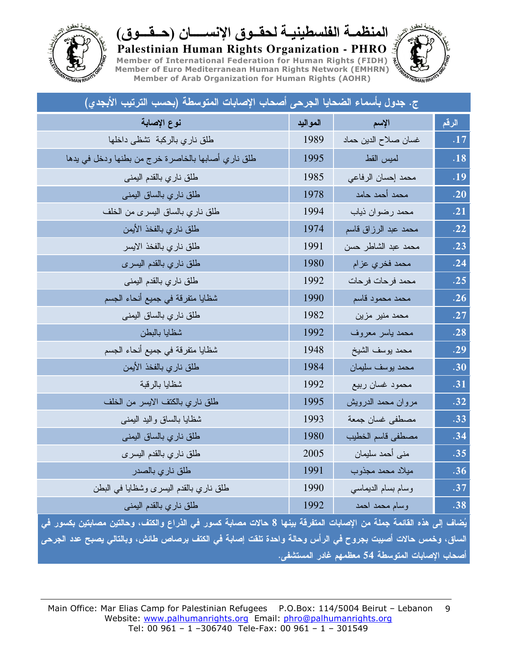

# المنظمـة الفلسطينيـة لحقــوق الإنســــان (حــقـــوق)

Palestinian Human Rights Organization - PHRO

Member of International Federation for Human Rights (FIDH) Member of Euro Mediterranean Human Rights Network (EMHRN) Member of Arab Organization for Human Rights (AOHR)



| ج. جدول بأسماء الضحايا الجرحى أصحاب الإصابات المتوسطة (بحسب الترتيب الأبجدي)                                        |          |                      |       |
|---------------------------------------------------------------------------------------------------------------------|----------|----------------------|-------|
| نوع الإصابة                                                                                                         | المواليد | الإسم                | الرقم |
| طلق ناري بالركبة تشظى داخلها                                                                                        | 1989     | غسان صلاح الدين حماد | .17   |
| طلق ناري أصابها بالخاصرة خرج من بطنها ودخل في يدها                                                                  | 1995     | لميس القط            | .18   |
| طلق ناري بالقدم اليمني                                                                                              | 1985     | محمد إحسان الرفاعي   | .19   |
| طلق ناري بالساق اليمني                                                                                              | 1978     | محمد أحمد حامد       | .20   |
| طلق ناري بالساق اليسرى من الخلف                                                                                     | 1994     | محمد رضوان ذياب      | .21   |
| طلق ناري بالفخذ الأيمن                                                                                              | 1974     | محمد عبد الرزاق قاسم | .22   |
| طلق ناري بالفخذ الايسر                                                                                              | 1991     | محمد عبد الشاطر حسن  | .23   |
| طلق ناري بالقدم اليسرى                                                                                              | 1980     | محمد فخر ي عزام      | .24   |
| طلق ناري بالقدم اليمني                                                                                              | 1992     | محمد فرحات فرحات     | .25   |
| شظايا منفرقة في جميع أنحاء الجسم                                                                                    | 1990     | محمد محمود قاسم      | .26   |
| طلق ناري بالساق اليمني                                                                                              | 1982     | محمد منير مزين       | .27   |
| شظايا بالبطن                                                                                                        | 1992     | محمد ياسر معروف      | .28   |
| شظايا منفرقة في جميع أنحاء الجسم                                                                                    | 1948     | محمد بوسف الشيخ      | .29   |
| طلق ناري بالفخذ الأيمن                                                                                              | 1984     | محمد يوسف سليمان     | .30   |
| شظايا بالرقبة                                                                                                       | 1992     | محمود غسان ربيع      | .31   |
| طلق ناري بالكتف الايسر من الخلف                                                                                     | 1995     | مروان محمد الدرويش   | .32   |
| شظايا بالساق والبد اليمنى                                                                                           | 1993     | مصطفى غسان جمعة      | .33   |
| طلق ناري بالساق البمني                                                                                              | 1980     | مصطفى قاسم الخطيب    | .34   |
| طلق ناري بالقدم اليسرى                                                                                              | 2005     | مني أحمد سليمان      | .35   |
| طلق ناري بالصدر                                                                                                     | 1991     | ميلاد محمد مجذوب     | .36   |
| طلق ناري بالقدم اليسرى وشظايا في البطن                                                                              | 1990     | وسام بسام الديماسي   | .37   |
| طلق ناري بالقدم اليمني                                                                                              | 1992     | وسام محمد احمد       | .38   |
| يُضاف إلى هذه القائمة جملة من الإصابات المتفرقة بينها 8 حالات مصابة كسور في الذراع والكتف، وحالتين مصابتين بكسور في |          |                      |       |
| الساق، وخمس حالات أصيبت بجروح في الرأس وحالة واحدة تلقت إصابة في الكتف برصاص طائش، وبالتالي يصبح عدد الجرحى         |          |                      |       |
| أصحاب الإصابات المتوسطة 54 معظمهم غابي المستشف                                                                      |          |                      |       |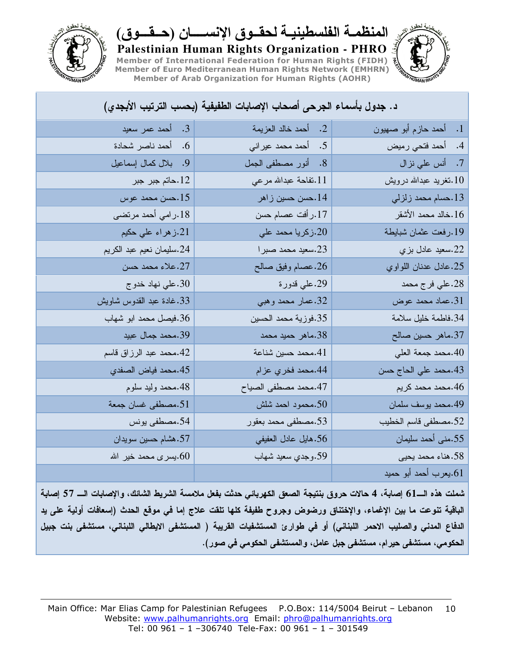

## المنظمــة الفلسطينيــة لـحقــوق الإنســـــان (حــقـــوق)

Palestinian Human Rights Organization - PHRO

Member of International Federation for Human Rights (FIDH) Member of Euro Mediterranean Human Rights Network (EMHRN) Member of Arab Organization for Human Rights (AOHR)



| د. جدول بأسماء الجرحى أصحاب الإصابات الطفيفية (بحسب الترتيب الأبجدي) |                       |                        |  |
|----------------------------------------------------------------------|-----------------------|------------------------|--|
| 3. أحمد عمر سعيد                                                     | 2. أحمد خالد العزيمة  | 1. أحمد حازم أبو صهيون |  |
| 6. أحمد ناصر شحادة                                                   | 5. أحمد محمد عيراني   | 4. أحمد فتحي رميض      |  |
| 9. بلال كمال إسماعيل                                                 | 8. أنور مصطفى الجمل   | 7. أنس علي نزال        |  |
| حاتم جبر جبر. $12$                                                   | 11.تفاحة عبدالله مرعى | 10.تغريد عبدالله درويش |  |
| 15.حسن محمد عوس                                                      | 14.حسن حسين زاهر      | 13.حسام محمد زلزلي     |  |
| 18.رامي أحمد مرتضى                                                   | 17.رأفت عصام حسن      | 16.خالد محمد الأشقر    |  |
| 21.زهراء علي حكيم                                                    | 20.زکریا محمد علی     | 19.رفعت عثمان شبايطة   |  |
| 24.سليمان نعيم عبد الكريم                                            | 23.سعيد محمد صبرا     | 22.سعيد عادل بزي       |  |
| 27.علاء محمد حسن                                                     | 26.عصام وفيق صالح     | 25.عادل عدنان اللواوي  |  |
| 30.علي نهاد خدوج                                                     | 29.علي قدورة          | 28.علي فرج محمد        |  |
| 33.غادة عبد القدوس شاويش                                             | 32.عمار محمد وهبي     | 31.عماد محمد عوض       |  |
| 36.فيصل محمد ابو شهاب                                                | 35.فوزية محمد الحسين  | 34.فاطمة خليل سلامة    |  |
| 39.محمد جمال عبيد                                                    | 38.ماهر حميد محمد     | 37.ماهر حسين صالح      |  |
| 42.محمد عبد الرزاق قاسم                                              | 41.محمد حسين شناعة    | 40.محمد جمعة العلي     |  |
| 45.محمد فياض الصفدي                                                  | 44.محمد فخري عزام     | 43.محمد علي الحاج حسن  |  |
| 48.محمد وليد سلوم                                                    | 47.محمد مصطفى الصياح  | 46.محمد محمد كريم      |  |
| 51.مصطفى غسان جمعة                                                   | 50.محمود احمد شلش     | 49.محمد يوسف سلمان     |  |
| 54.مصطفى يونس                                                        | 53.مصطفى محمد بعقور   | 52.مصطفى قاسم الخطيب   |  |
| 57.هشام حسين سويدان                                                  | 56. هايل عادل العفيفي | 55.مني أحمد سليمان     |  |
| 60.بسری محمد خیر الله                                                | 59.وجدي سعيد شهاب     | 58.هناء محمد يحيى      |  |
|                                                                      |                       | .61بعرب أحمد أبو حميد  |  |

شملت هذه الــ61 إصابة، 4 حالات حروق بنتيجة الصعق الكهربائي حدثت بفعل ملامسة الشريط الشائك، والإصابات الـــ 57 إصابة الباقية تنوعت ما بين الإغماء، والإختناق ورضوض وجروح طفيفة كلها تلقت علاج إما في موقع الحدث (إسعافات أولية على يد الدفاع المدنى والصليب الاحمر اللبناني) أو في طوارئ المستشفيات القريبة ( المستشفى الايطالي اللبناني، مستشفى بنت جبيل الحكومي، مستشفى حيرام، مستشفى جبل عامل، والمستشفى الحكومي في صور).

Main Office: Mar Elias Camp for Palestinian Refugees P.O.Box: 114/5004 Beirut - Lebanon 10 Website: www.palhumanrights.org Email: phro@palhumanrights.org Tel: 00 961 - 1 -306740 Tele-Fax: 00 961 - 1 - 301549